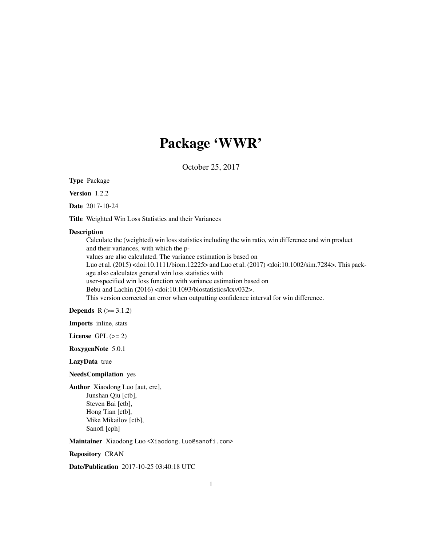# Package 'WWR'

October 25, 2017

Type Package

Version 1.2.2

Date 2017-10-24

Title Weighted Win Loss Statistics and their Variances

#### Description

Calculate the (weighted) win loss statistics including the win ratio, win difference and win product and their variances, with which the pvalues are also calculated. The variance estimation is based on Luo et al. (2015) <doi:10.1111/biom.12225> and Luo et al. (2017) <doi:10.1002/sim.7284>. This package also calculates general win loss statistics with user-specified win loss function with variance estimation based on Bebu and Lachin (2016) <doi:10.1093/biostatistics/kxv032>. This version corrected an error when outputting confidence interval for win difference.

**Depends**  $R$  ( $>= 3.1.2$ )

Imports inline, stats

License GPL  $(>= 2)$ 

RoxygenNote 5.0.1

LazyData true

NeedsCompilation yes

Author Xiaodong Luo [aut, cre], Junshan Qiu [ctb], Steven Bai [ctb], Hong Tian [ctb], Mike Mikailov [ctb], Sanofi [cph]

Maintainer Xiaodong Luo <Xiaodong.Luo@sanofi.com>

Repository CRAN

Date/Publication 2017-10-25 03:40:18 UTC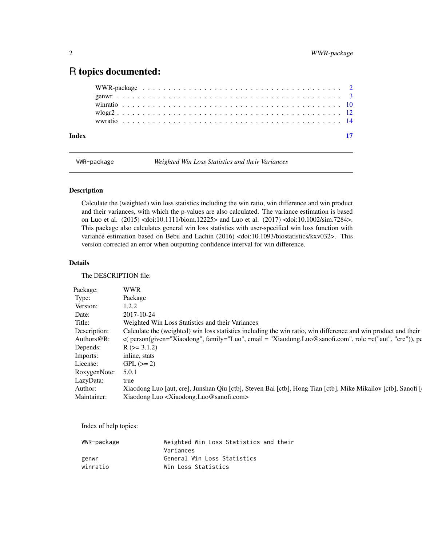# <span id="page-1-0"></span>R topics documented:

WWR-package *Weighted Win Loss Statistics and their Variances*

#### Description

Calculate the (weighted) win loss statistics including the win ratio, win difference and win product and their variances, with which the p-values are also calculated. The variance estimation is based on Luo et al. (2015) <doi:10.1111/biom.12225> and Luo et al. (2017) <doi:10.1002/sim.7284>. This package also calculates general win loss statistics with user-specified win loss function with variance estimation based on Bebu and Lachin (2016) <doi:10.1093/biostatistics/kxv032>. This version corrected an error when outputting confidence interval for win difference.

#### Details

The DESCRIPTION file:

| Package:           | <b>WWR</b>                                                                                                                  |
|--------------------|-----------------------------------------------------------------------------------------------------------------------------|
| Type:              | Package                                                                                                                     |
| Version:           | 1.2.2                                                                                                                       |
| Date:              | 2017-10-24                                                                                                                  |
| Title:             | Weighted Win Loss Statistics and their Variances                                                                            |
|                    | Description: Calculate the (weighted) win loss statistics including the win ratio, win difference and win product and their |
|                    | Authors@R: c(person(given="Xiaodong", family="Luo", email = "Xiaodong.Luo@sanofi.com", role =c("aut", "cre")), pe           |
| Depends:           | $R$ ( $> = 3.1.2$ )                                                                                                         |
| Imports:           | inline, stats                                                                                                               |
| License:           | $GPL (= 2)$                                                                                                                 |
| RoxygenNote: 5.0.1 |                                                                                                                             |
| LazyData:          | true                                                                                                                        |
| Author:            | Xiaodong Luo [aut, cre], Junshan Qiu [ctb], Steven Bai [ctb], Hong Tian [ctb], Mike Mikailov [ctb], Sanofi [                |
| Maintainer:        | Xiaodong Luo <xiaodong.luo@sanofi.com></xiaodong.luo@sanofi.com>                                                            |
|                    |                                                                                                                             |

Index of help topics:

| WWR-package | Weighted Win Loss Statistics and their |
|-------------|----------------------------------------|
|             | Variances                              |
| genwr       | General Win Loss Statistics            |
| winratio    | Win Loss Statistics                    |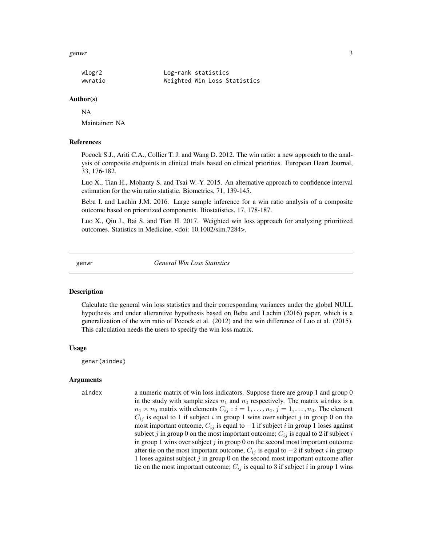<span id="page-2-0"></span>genwr 30 a 200 a 200 a 200 a 200 a 200 a 200 a 200 a 200 a 200 a 200 a 200 a 200 a 200 a 200 a 200 a 200 a 200

| wlogr2  | Log-rank statistics |                              |
|---------|---------------------|------------------------------|
| wwratio |                     | Weighted Win Loss Statistics |

#### Author(s)

NA

Maintainer: NA

#### References

Pocock S.J., Ariti C.A., Collier T. J. and Wang D. 2012. The win ratio: a new approach to the analysis of composite endpoints in clinical trials based on clinical priorities. European Heart Journal, 33, 176-182.

Luo X., Tian H., Mohanty S. and Tsai W.-Y. 2015. An alternative approach to confidence interval estimation for the win ratio statistic. Biometrics, 71, 139-145.

Bebu I. and Lachin J.M. 2016. Large sample inference for a win ratio analysis of a composite outcome based on prioritized components. Biostatistics, 17, 178-187.

Luo X., Qiu J., Bai S. and Tian H. 2017. Weighted win loss approach for analyzing prioritized outcomes. Statistics in Medicine, <doi: 10.1002/sim.7284>.

genwr *General Win Loss Statistics*

### Description

Calculate the general win loss statistics and their corresponding variances under the global NULL hypothesis and under alterantive hypothesis based on Bebu and Lachin (2016) paper, which is a generalization of the win ratio of Pocock et al. (2012) and the win difference of Luo et al. (2015). This calculation needs the users to specify the win loss matrix.

#### Usage

genwr(aindex)

#### Arguments

aindex a numeric matrix of win loss indicators. Suppose there are group 1 and group 0 in the study with sample sizes  $n_1$  and  $n_0$  respectively. The matrix aindex is a  $n_1 \times n_0$  matrix with elements  $C_{ij}$ :  $i = 1, \ldots, n_1, j = 1, \ldots, n_0$ . The element  $C_{ij}$  is equal to 1 if subject i in group 1 wins over subject j in group 0 on the most important outcome,  $C_{ij}$  is equal to  $-1$  if subject *i* in group 1 loses against subject j in group 0 on the most important outcome;  $C_{ij}$  is equal to 2 if subject i in group 1 wins over subject  $j$  in group 0 on the second most important outcome after tie on the most important outcome,  $C_{ij}$  is equal to  $-2$  if subject i in group 1 loses against subject  $j$  in group 0 on the second most important outcome after tie on the most important outcome;  $C_{ij}$  is equal to 3 if subject i in group 1 wins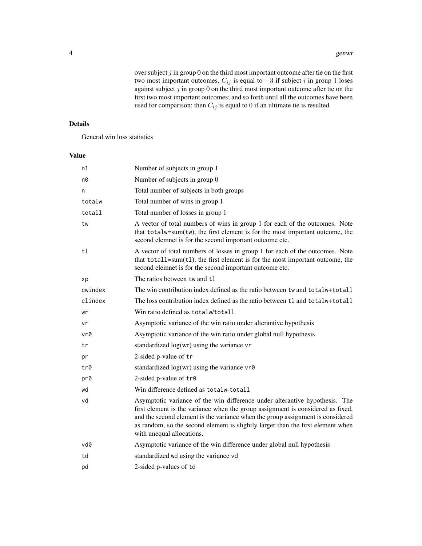over subject  $j$  in group  $0$  on the third most important outcome after tie on the first two most important outcomes,  $C_{ij}$  is equal to  $-3$  if subject i in group 1 loses against subject  $j$  in group 0 on the third most important outcome after tie on the first two most important outcomes; and so forth until all the outcomes have been used for comparison; then  $C_{ij}$  is equal to 0 if an ultimate tie is resulted.

#### Details

General win loss statistics

### Value

| n1      | Number of subjects in group 1                                                                                                                                                                                                                                                                                                                                    |
|---------|------------------------------------------------------------------------------------------------------------------------------------------------------------------------------------------------------------------------------------------------------------------------------------------------------------------------------------------------------------------|
| n0      | Number of subjects in group 0                                                                                                                                                                                                                                                                                                                                    |
| n       | Total number of subjects in both groups                                                                                                                                                                                                                                                                                                                          |
| totalw  | Total number of wins in group 1                                                                                                                                                                                                                                                                                                                                  |
| totall  | Total number of losses in group 1                                                                                                                                                                                                                                                                                                                                |
| tw      | A vector of total numbers of wins in group 1 for each of the outcomes. Note<br>that totalw=sum(tw), the first element is for the most important outcome, the<br>second elemnet is for the second important outcome etc.                                                                                                                                          |
| tl      | A vector of total numbers of losses in group 1 for each of the outcomes. Note<br>that $total1 = sum(t)$ , the first element is for the most important outcome, the<br>second elemnet is for the second important outcome etc.                                                                                                                                    |
| хp      | The ratios between tw and t1                                                                                                                                                                                                                                                                                                                                     |
| cwindex | The win contribution index defined as the ratio between tw and totalw+totall                                                                                                                                                                                                                                                                                     |
| clindex | The loss contribution index defined as the ratio between t1 and totalw+totall                                                                                                                                                                                                                                                                                    |
| wr      | Win ratio defined as totalw/totall                                                                                                                                                                                                                                                                                                                               |
| vr      | Asymptotic variance of the win ratio under alterantive hypothesis                                                                                                                                                                                                                                                                                                |
| vr0     | Asymptotic variance of the win ratio under global null hypothesis                                                                                                                                                                                                                                                                                                |
| tr      | standardized $log(wr)$ using the variance vr                                                                                                                                                                                                                                                                                                                     |
| pr      | 2-sided p-value of tr                                                                                                                                                                                                                                                                                                                                            |
| tr0     | standardized $log(wr)$ using the variance $vr\theta$                                                                                                                                                                                                                                                                                                             |
| pr0     | 2-sided p-value of tr0                                                                                                                                                                                                                                                                                                                                           |
| wd      | Win difference defined as totalw-totall                                                                                                                                                                                                                                                                                                                          |
| vd      | Asymptotic variance of the win difference under alterantive hypothesis. The<br>first element is the variance when the group assignment is considered as fixed,<br>and the second element is the variance when the group assignment is considered<br>as random, so the second element is slightly larger than the first element when<br>with unequal allocations. |
| vd0     | Asymptotic variance of the win difference under global null hypothesis                                                                                                                                                                                                                                                                                           |
| td      | standardized wd using the variance vd                                                                                                                                                                                                                                                                                                                            |
| pd      | 2-sided p-values of td                                                                                                                                                                                                                                                                                                                                           |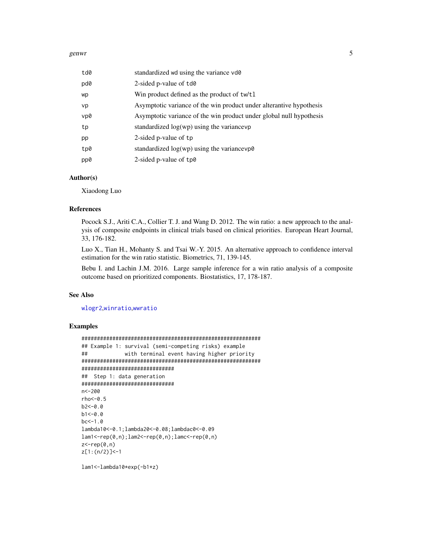#### <span id="page-4-0"></span>genwr 500 ac 1999 a 1999 a 1999 a 1999 a 1999 a 1999 a 1999 a 1999 a 1999 a 1999 a 1999 a 1999 a 1999 a 1999 a

| td0 | standardized wd using the variance vd0                              |
|-----|---------------------------------------------------------------------|
| pd0 | 2-sided p-value of $td0$                                            |
| wp  | Win product defined as the product of tw/t1                         |
| vp  | Asymptotic variance of the win product under alterantive hypothesis |
| vp0 | Asymptotic variance of the win product under global null hypothesis |
| tp  | standardized $log(wp)$ using the variancevp                         |
| pp  | 2-sided p-value of tp                                               |
| tp0 | standardized log(wp) using the variancevp0                          |
| pp0 | 2-sided p-value of $tp@$                                            |

#### Author(s)

Xiaodong Luo

#### References

Pocock S.J., Ariti C.A., Collier T. J. and Wang D. 2012. The win ratio: a new approach to the analysis of composite endpoints in clinical trials based on clinical priorities. European Heart Journal, 33, 176-182.

Luo X., Tian H., Mohanty S. and Tsai W.-Y. 2015. An alternative approach to confidence interval estimation for the win ratio statistic. Biometrics, 71, 139-145.

Bebu I. and Lachin J.M. 2016. Large sample inference for a win ratio analysis of a composite outcome based on prioritized components. Biostatistics, 17, 178-187.

#### See Also

[wlogr2](#page-11-1),[winratio](#page-9-1),[wwratio](#page-13-1)

#### Examples

```
##########################################################
## Example 1: survival (semi-competing risks) example
## with terminal event having higher priority
##########################################################
##############################
## Step 1: data generation
##############################
n<-200
rho<-0.5
b2<-0.0b1<-0.0bc < -1.0lambda10<-0.1;lambda20<-0.08;lambdac0<-0.09
lam1<-rep(0,n);lam2<-rep(0,n);lamc<-rep(0,n)
z <-rep(\emptyset, n)
z[1:(n/2)]<-1
```
lam1<-lambda10\*exp(-b1\*z)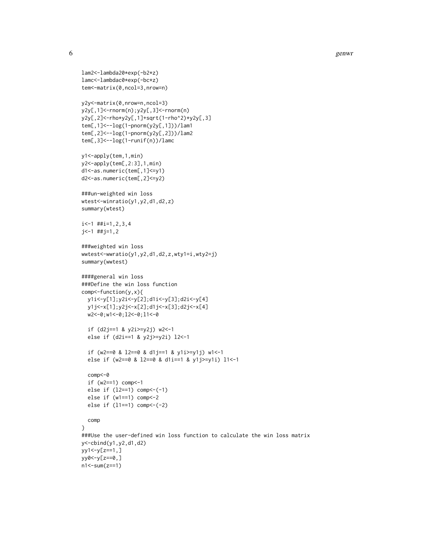```
lam2<-lambda20*exp(-b2*z)
lamc<-lambdac0*exp(-bc*z)
tem<-matrix(0,ncol=3,nrow=n)
y2y<-matrix(0,nrow=n,ncol=3)
y2y[,1]<-rnorm(n);y2y[,3]<-rnorm(n)
y2y[,2]<-rho*y2y[,1]+sqrt(1-rho^2)*y2y[,3]
tem[,1]<--log(1-pnorm(y2y[,1]))/lam1
tem[,2]<--log(1-pnorm(y2y[,2]))/lam2
tem[,3]<--log(1-runif(n))/lamc
y1<-apply(tem,1,min)
y2<-apply(tem[,2:3],1,min)
d1<-as.numeric(tem[,1]<=y1)
d2<-as.numeric(tem[,2]<=y2)
###un-weighted win loss
wtest<-winratio(y1,y2,d1,d2,z)
summary(wtest)
i<-1 ##i=1,2,3,4
j < - 1 ##j = 1, 2
###weighted win loss
wwtest<-wwratio(y1,y2,d1,d2,z,wty1=i,wty2=j)
summary(wwtest)
####general win loss
###Define the win loss function
comp<-function(y,x){
  y1i<-y[1];y2i<-y[2];d1i<-y[3];d2i<-y[4]
  y1j<-x[1];y2j<-x[2];d1j<-x[3];d2j<-x[4]
  w2<-0;w1<-0;l2<-0;l1<-0
  if (d2j==1 & y2i>=y2j) w2<-1
  else if (d2i==1 & y2j>=y2i) l2<-1
  if (w2==0 & l2==0 & d1j==1 & y1i>=y1j) w1<-1
  else if (w2==0 & l2==0 & d1i==1 & y1j>=y1i) l1<-1
  comp<-0
  if (w2==1) comp<-1
  else if (l2==1) comp<-(-1)
  else if (w1==1) comp<-2
  else if (l1==1) comp<-(-2)
  comp
}
###Use the user-defined win loss function to calculate the win loss matrix
y<-cbind(y1,y2,d1,d2)
yy1<-y[z==1,]
yy0<-y[z==0,]
n1 < - sum(z==1)
```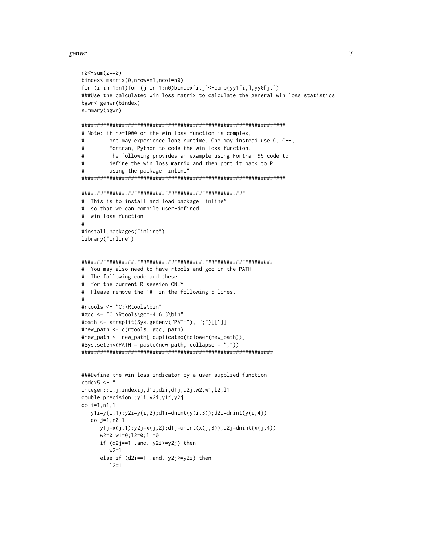#### genwr 2008 a 1999 yn 1999 a 1999 a 1999 yn 1999 a 1999 a 1999 a 1999 a 1999 a 1999 a 1999 a 1999 a 1999 a 199

```
n0<-sum(z==0)
bindex<-matrix(0,nrow=n1,ncol=n0)
for (i in 1:n1)for (j in 1:n0)bindex[i,j]<-comp(yy1[i,],yy0[j,])
###Use the calculated win loss matrix to calculate the general win loss statistics
bgwr<-genwr(bindex)
summary(bgwr)
##################################################################
# Note: if n>=1000 or the win loss function is complex,
# one may experience long runtime. One may instead use C, C++,
# Fortran, Python to code the win loss function.
# The following provides an example using Fortran 95 code to
# define the win loss matrix and then port it back to R
# using the package "inline"
##################################################################
#####################################################
# This is to install and load package "inline"
# so that we can compile user-defined
# win loss function
#
#install.packages("inline")
library("inline")
##############################################################
# You may also need to have rtools and gcc in the PATH
# The following code add these
# for the current R session ONLY
# Please remove the '#' in the following 6 lines.
#
#rtools <- "C:\Rtools\bin"
#gcc <- "C:\Rtools\gcc-4.6.3\bin"
#path <- strsplit(Sys.getenv("PATH"), ";")[[1]]
#new_path <- c(rtools, gcc, path)
#new_path <- new_path[!duplicated(tolower(new_path))]
#Sys.setenv(PATH = paste(new_path, collapse = ";"))
##############################################################
###Define the win loss indicator by a user-supplied function
codex5 < - "
integer::i,j,indexij,d1i,d2i,d1j,d2j,w2,w1,l2,l1
double precision::y1i,y2i,y1j,y2j
do i=1,n1,1
  y1i=y(i,1);y2i=y(i,2);d1i=dnint(y(i,3));d2i=dnint(y(i,4))do j=1,n0,1
     y1j=x(j,1);y2j=x(j,2);d1j=dnint(x(j,3));d2j=dnint(x(j,4))w2=0;w1=0;l2=0;l1=0
     if (d2j==1 .and. y2i>=y2j) then
        w^2=1else if (d2i==1 .and. y2j>=y2i) then
        12=1
```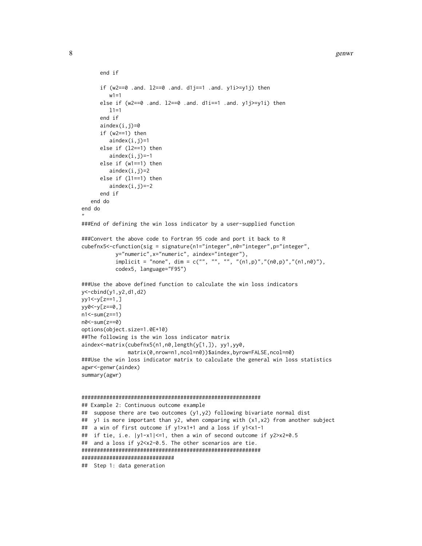```
end if
      if (w2==0 .and. l2==0 .and. d1j==1 .and. y1i>=y1j) then
        w1=1else if (w2==0 .and. l2==0 .and. d1i==1 .and. y1j>=y1i) then
        11=1end if
      aindex(i,j)=0if (w2==1) then
         aindex(i,j)=1
      else if (l2==1) then
         aindex(i,j)=-1
      else if (w1==1) then
         aindex(i,j)=2else if (l1==1) then
         aindex(i,j)=-2
      end if
   end do
end do
"
###End of defining the win loss indicator by a user-supplied function
###Convert the above code to Fortran 95 code and port it back to R
cubefnx5<-cfunction(sig = signature(n1="integer",n0="integer",p="integer",
           y="numeric",x="numeric", aindex="integer"),
           implicit = "none", dim = c("", "", "", "(n1,p)","(n0,p)","(n1,n0)"),
           codex5, language="F95")
###Use the above defined function to calculate the win loss indicators
y<-cbind(y1,y2,d1,d2)
yy1<-y[z==1,]
yy0<-y[z==0,]
n1 < - sum(z==1)n0<-sum(z==0)
options(object.size=1.0E+10)
##The following is the win loss indicator matrix
aindex<-matrix(cubefnx5(n1,n0,length(y[1,]), yy1,yy0,
               matrix(0,nrow=n1,ncol=n0))$aindex,byrow=FALSE,ncol=n0)
###Use the win loss indicator matrix to calculate the general win loss statistics
agwr<-genwr(aindex)
summary(agwr)
##########################################################
## Example 2: Continuous outcome example
## suppose there are two outcomes (y1,y2) following bivariate normal dist
## y1 is more important than y2, when comparing with (x1,x2) from another subject
## a win of first outcome if y1>x1+1 and a loss if y1<x1-1
## if tie, i.e. |y1-x1|<=1, then a win of second outcome if y2>x2+0.5
## and a loss if y2<x2-0.5. The other scenarios are tie.
##########################################################
##############################
## Step 1: data generation
```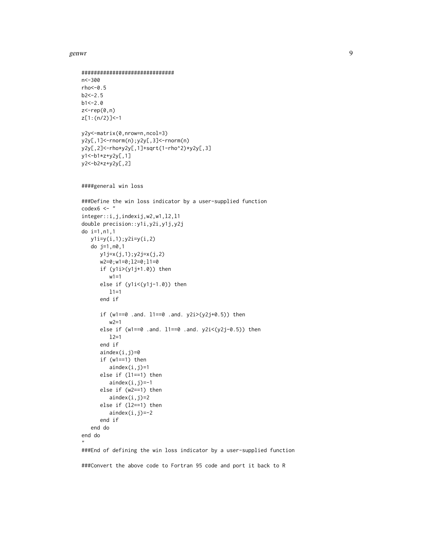#### genwr 1996 yn 1996 a 1997 a 1998 yn 1999 a 1999 a 1999 a 1999 a 1999 a 1999 a 1999 a 1999 a 1999 a 1999 a 199

```
##############################
n<-300
rho<-0.5
b2<-2.5b1<-2.0z <-rep(\emptyset, n)
z[1:(n/2)]<-1
y2y<-matrix(0,nrow=n,ncol=3)
y2y[,1]<-rnorm(n);y2y[,3]<-rnorm(n)
y2y[,2]<-rho*y2y[,1]+sqrt(1-rho^2)*y2y[,3]
y1<-b1*z+y2y[,1]
y2<-b2*z+y2y[,2]
####general win loss
###Define the win loss indicator by a user-supplied function
codex6 < - "
integer::i,j,indexij,w2,w1,l2,l1
double precision::y1i,y2i,y1j,y2j
do i=1,n1,1
   y1i=y(i,1);y2i=y(i,2)
   do j=1,n0,1
      y1j=x(j,1);y2j=x(j,2)
      w2=0;w1=0;l2=0;l1=0
      if (y1i>(y1j+1.0)) then
         w1=1else if (y1i<(y1j-1.0)) then
         11=1end if
      if (w1 == 0 .and. 11 == 0 .and. y2i > (y2j + 0.5)) then
         w2=1
      else if (w1==0 .and. 11==0 .and. y2i<(y2j-0.5)) then
         12=1end if
      aindex(i,j)=0
      if (w1==1) then
         aindex(i,j)=1
      else if (l1==1) then
         aindex(i,j)=-1
      else if (w2==1) then
         aindex(i,j)=2
      else if (l2==1) then
         aindex(i,j)=-2
      end if
   end do
end do
"
###End of defining the win loss indicator by a user-supplied function
###Convert the above code to Fortran 95 code and port it back to R
```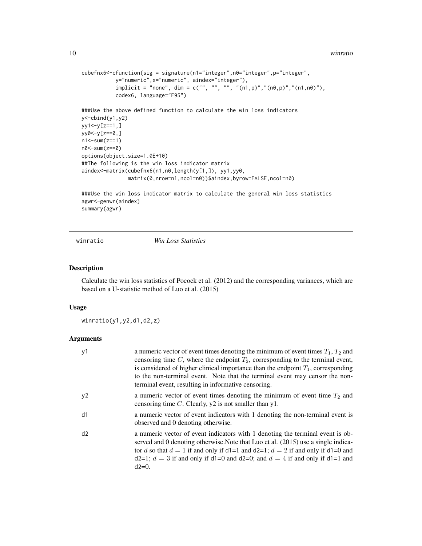```
cubefnx6<-cfunction(sig = signature(n1="integer",n0="integer",p="integer",
           y="numeric",x="numeric", aindex="integer"),
           implicit = "none", dim = c("", "", "", " (n1,p)", " (n0,p)", " (n1,n0)"),codex6, language="F95")
###Use the above defined function to calculate the win loss indicators
y<-cbind(y1,y2)
yy1<-y[z==1,]
yy0<-y[z==0,]
n1 < -sum(z=1)n0<-sum(z==0)
options(object.size=1.0E+10)
##The following is the win loss indicator matrix
aindex<-matrix(cubefnx6(n1,n0,length(y[1,]), yy1,yy0,
               matrix(0,nrow=n1,ncol=n0))$aindex,byrow=FALSE,ncol=n0)
```
###Use the win loss indicator matrix to calculate the general win loss statistics agwr<-genwr(aindex) summary(agwr)

<span id="page-9-1"></span>winratio *Win Loss Statistics*

#### Description

Calculate the win loss statistics of Pocock et al. (2012) and the corresponding variances, which are based on a U-statistic method of Luo et al. (2015)

#### Usage

winratio(y1,y2,d1,d2,z)

#### Arguments

| у1 | a numeric vector of event times denoting the minimum of event times $T_1$ , $T_2$ and<br>censoring time $C$ , where the endpoint $T_2$ , corresponding to the terminal event,<br>is considered of higher clinical importance than the endpoint $T_1$ , corresponding<br>to the non-terminal event. Note that the terminal event may censor the non-<br>terminal event, resulting in informative censoring. |
|----|------------------------------------------------------------------------------------------------------------------------------------------------------------------------------------------------------------------------------------------------------------------------------------------------------------------------------------------------------------------------------------------------------------|
| ν2 | a numeric vector of event times denoting the minimum of event time $T_2$ and<br>censoring time $C$ . Clearly, y2 is not smaller than y1.                                                                                                                                                                                                                                                                   |
| d1 | a numeric vector of event indicators with 1 denoting the non-terminal event is<br>observed and 0 denoting otherwise.                                                                                                                                                                                                                                                                                       |
| d2 | a numeric vector of event indicators with 1 denoting the terminal event is ob-<br>served and 0 denoting otherwise. Note that Luo et al. (2015) use a single indica-<br>tor d so that $d = 1$ if and only if d1=1 and d2=1; $d = 2$ if and only if d1=0 and<br>$d2=1$ ; $d = 3$ if and only if $d1=0$ and $d2=0$ ; and $d = 4$ if and only if $d1=1$ and<br>$d2=0$ .                                        |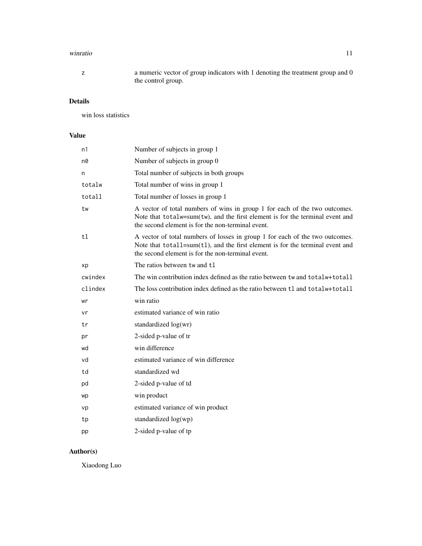#### winratio 11

z a numeric vector of group indicators with 1 denoting the treatment group and 0 the control group.

### Details

win loss statistics

## Value

| n1      | Number of subjects in group 1                                                                                                                                                                                           |
|---------|-------------------------------------------------------------------------------------------------------------------------------------------------------------------------------------------------------------------------|
| n0      | Number of subjects in group 0                                                                                                                                                                                           |
| n       | Total number of subjects in both groups                                                                                                                                                                                 |
| totalw  | Total number of wins in group 1                                                                                                                                                                                         |
| totall  | Total number of losses in group 1                                                                                                                                                                                       |
| tw      | A vector of total numbers of wins in group 1 for each of the two outcomes.<br>Note that $totalw = sum(tw)$ , and the first element is for the terminal event and<br>the second element is for the non-terminal event.   |
| tl      | A vector of total numbers of losses in group 1 for each of the two outcomes.<br>Note that $total1 = sum(t1)$ , and the first element is for the terminal event and<br>the second element is for the non-terminal event. |
| хp      | The ratios between tw and tl                                                                                                                                                                                            |
| cwindex | The win contribution index defined as the ratio between tw and total w+totall                                                                                                                                           |
| clindex | The loss contribution index defined as the ratio between t1 and total w+totall                                                                                                                                          |
| wr      | win ratio                                                                                                                                                                                                               |
| vr      | estimated variance of win ratio                                                                                                                                                                                         |
| tr      | standardized log(wr)                                                                                                                                                                                                    |
| pr      | 2-sided p-value of tr                                                                                                                                                                                                   |
| wd      | win difference                                                                                                                                                                                                          |
| vd      | estimated variance of win difference                                                                                                                                                                                    |
| td      | standardized wd                                                                                                                                                                                                         |
| pd      | 2-sided p-value of td                                                                                                                                                                                                   |
| wp      | win product                                                                                                                                                                                                             |
| vp      | estimated variance of win product                                                                                                                                                                                       |
| tp      | standardized log(wp)                                                                                                                                                                                                    |
| pp      | 2-sided p-value of tp                                                                                                                                                                                                   |

## Author(s)

Xiaodong Luo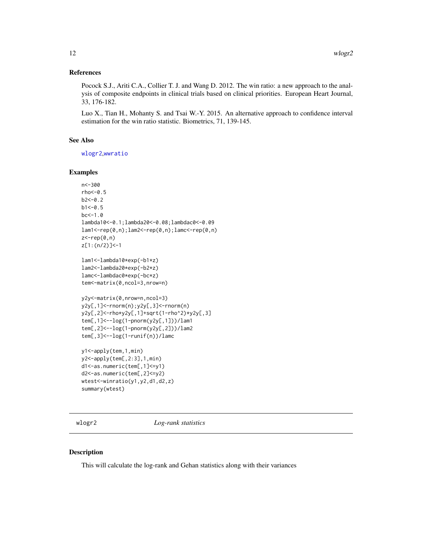#### <span id="page-11-0"></span>References

Pocock S.J., Ariti C.A., Collier T. J. and Wang D. 2012. The win ratio: a new approach to the analysis of composite endpoints in clinical trials based on clinical priorities. European Heart Journal, 33, 176-182.

Luo X., Tian H., Mohanty S. and Tsai W.-Y. 2015. An alternative approach to confidence interval estimation for the win ratio statistic. Biometrics, 71, 139-145.

#### See Also

[wlogr2](#page-11-1),[wwratio](#page-13-1)

#### Examples

```
n<-300
rho<-0.5
b2<-0.2b1<-0.5bc < -1.0lambda10<-0.1;lambda20<-0.08;lambdac0<-0.09
lam1<-rep(0,n);lam2<-rep(0,n);lamc<-rep(0,n)
z <-rep(\emptyset, n)
z[1:(n/2)]<-1
lam1<-lambda10*exp(-b1*z)
lam2<-lambda20*exp(-b2*z)
lamc<-lambdac0*exp(-bc*z)
tem<-matrix(0,ncol=3,nrow=n)
y2y<-matrix(0,nrow=n,ncol=3)
y2y[,1]<-rnorm(n);y2y[,3]<-rnorm(n)
y2y[,2]<-rho*y2y[,1]+sqrt(1-rho^2)*y2y[,3]
tem[,1]<--log(1-pnorm(y2y[,1]))/lam1
tem[,2]<--log(1-pnorm(y2y[,2]))/lam2
tem[,3]<--log(1-runif(n))/lamc
y1<-apply(tem,1,min)
y2<-apply(tem[,2:3],1,min)
d1<-as.numeric(tem[,1]<=y1)
d2<-as.numeric(tem[,2]<=y2)
wtest<-winratio(y1,y2,d1,d2,z)
```
summary(wtest)

<span id="page-11-1"></span>wlogr2 *Log-rank statistics*

#### Description

This will calculate the log-rank and Gehan statistics along with their variances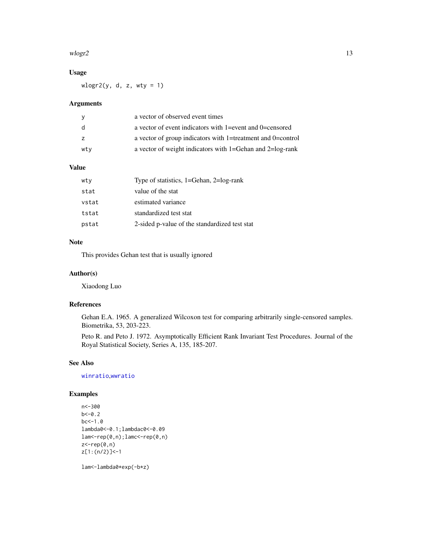#### <span id="page-12-0"></span> $wlog<sub>13</sub>$  13

### Usage

 $wlogr2(y, d, z, wty = 1)$ 

#### Arguments

| - V            | a vector of observed event times                                                 |
|----------------|----------------------------------------------------------------------------------|
| d              | a vector of event indicators with 1=event and 0=censored                         |
| $\overline{z}$ | a vector of group indicators with 1=treatment and 0=control                      |
| wtv            | a vector of weight indicators with $1 = \text{Gehan}$ and $2 = \log \text{rank}$ |

#### Value

| wty   | Type of statistics, 1=Gehan, 2=log-rank       |
|-------|-----------------------------------------------|
| stat  | value of the stat                             |
| vstat | estimated variance                            |
| tstat | standardized test stat                        |
| pstat | 2-sided p-value of the standardized test stat |
|       |                                               |

#### Note

This provides Gehan test that is usually ignored

#### Author(s)

Xiaodong Luo

#### References

Gehan E.A. 1965. A generalized Wilcoxon test for comparing arbitrarily single-censored samples. Biometrika, 53, 203-223.

Peto R. and Peto J. 1972. Asymptotically Efficient Rank Invariant Test Procedures. Journal of the Royal Statistical Society, Series A, 135, 185-207.

### See Also

[winratio](#page-9-1),[wwratio](#page-13-1)

#### Examples

```
n<-300
b < -0.2bc < -1.0lambda0<-0.1;lambdac0<-0.09
lam<-rep(0,n);lamc<-rep(0,n)
z<-rep(0,n)
z[1:(n/2)]<-1
```
lam<-lambda0\*exp(-b\*z)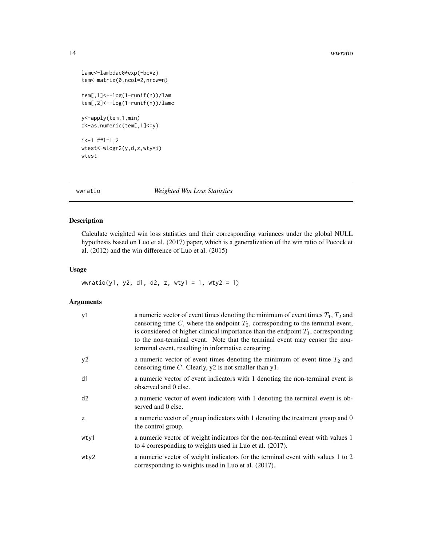#### <span id="page-13-0"></span>14 wwratio

```
lamc<-lambdac0*exp(-bc*z)
tem<-matrix(0,ncol=2,nrow=n)
```
tem[, $1$ ] < - -  $\log(1 - \text{runif(n)})$ /lam tem[,2]<--log(1-runif(n))/lamc

y<-apply(tem,1,min) d<-as.numeric(tem[,1]<=y)

i<-1 ##i=1,2 wtest<-wlogr2(y,d,z,wty=i) wtest

<span id="page-13-1"></span>

#### wwratio *Weighted Win Loss Statistics*

#### Description

Calculate weighted win loss statistics and their corresponding variances under the global NULL hypothesis based on Luo et al. (2017) paper, which is a generalization of the win ratio of Pocock et al. (2012) and the win difference of Luo et al. (2015)

#### Usage

wwratio(y1, y2, d1, d2, z, wty1 = 1, wty2 = 1)

#### Arguments

| y1   | a numeric vector of event times denoting the minimum of event times $T_1$ , $T_2$ and<br>censoring time $C$ , where the endpoint $T_2$ , corresponding to the terminal event,<br>is considered of higher clinical importance than the endpoint $T_1$ , corresponding<br>to the non-terminal event. Note that the terminal event may censor the non-<br>terminal event, resulting in informative censoring. |
|------|------------------------------------------------------------------------------------------------------------------------------------------------------------------------------------------------------------------------------------------------------------------------------------------------------------------------------------------------------------------------------------------------------------|
| y2   | a numeric vector of event times denoting the minimum of event time $T_2$ and<br>censoring time $C$ . Clearly, $y2$ is not smaller than $y1$ .                                                                                                                                                                                                                                                              |
| d1   | a numeric vector of event indicators with 1 denoting the non-terminal event is<br>observed and 0 else.                                                                                                                                                                                                                                                                                                     |
| d2   | a numeric vector of event indicators with 1 denoting the terminal event is ob-<br>served and 0 else.                                                                                                                                                                                                                                                                                                       |
| Z    | a numeric vector of group indicators with 1 denoting the treatment group and 0<br>the control group.                                                                                                                                                                                                                                                                                                       |
| wty1 | a numeric vector of weight indicators for the non-terminal event with values 1<br>to 4 corresponding to weights used in Luo et al. (2017).                                                                                                                                                                                                                                                                 |
| wty2 | a numeric vector of weight indicators for the terminal event with values 1 to 2<br>corresponding to weights used in Luo et al. (2017).                                                                                                                                                                                                                                                                     |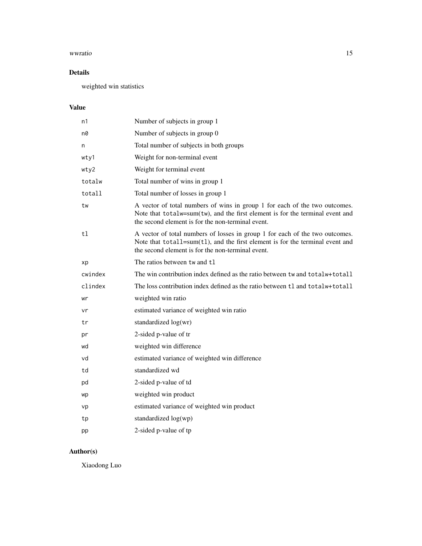#### ww. which is a set of the set of the set of the set of the set of the set of the set of the set of the set of the set of the set of the set of the set of the set of the set of the set of the set of the set of the set of th

# Details

weighted win statistics

# Value

| n1      | Number of subjects in group 1                                                                                                                                                                                           |
|---------|-------------------------------------------------------------------------------------------------------------------------------------------------------------------------------------------------------------------------|
| n0      | Number of subjects in group 0                                                                                                                                                                                           |
| n       | Total number of subjects in both groups                                                                                                                                                                                 |
| wty1    | Weight for non-terminal event                                                                                                                                                                                           |
| wty2    | Weight for terminal event                                                                                                                                                                                               |
| totalw  | Total number of wins in group 1                                                                                                                                                                                         |
| totall  | Total number of losses in group 1                                                                                                                                                                                       |
| tw      | A vector of total numbers of wins in group 1 for each of the two outcomes.<br>Note that $totalw = sum(tw)$ , and the first element is for the terminal event and<br>the second element is for the non-terminal event.   |
| t1      | A vector of total numbers of losses in group 1 for each of the two outcomes.<br>Note that $total1 = sum(t1)$ , and the first element is for the terminal event and<br>the second element is for the non-terminal event. |
| хp      | The ratios between tw and tl                                                                                                                                                                                            |
| cwindex | The win contribution index defined as the ratio between tw and total w+totall                                                                                                                                           |
| clindex | The loss contribution index defined as the ratio between t1 and total w+totall                                                                                                                                          |
| wr      | weighted win ratio                                                                                                                                                                                                      |
| ٧r      | estimated variance of weighted win ratio                                                                                                                                                                                |
| tr      | standardized $log(wr)$                                                                                                                                                                                                  |
| pr      | 2-sided p-value of tr                                                                                                                                                                                                   |
| wd      | weighted win difference                                                                                                                                                                                                 |
| vd      | estimated variance of weighted win difference                                                                                                                                                                           |
| td      | standardized wd                                                                                                                                                                                                         |
| pd      | 2-sided p-value of td                                                                                                                                                                                                   |
| wp      | weighted win product                                                                                                                                                                                                    |
| vp      | estimated variance of weighted win product                                                                                                                                                                              |
| tp      | standardized log(wp)                                                                                                                                                                                                    |
| pp      | 2-sided p-value of tp                                                                                                                                                                                                   |

# Author(s)

Xiaodong Luo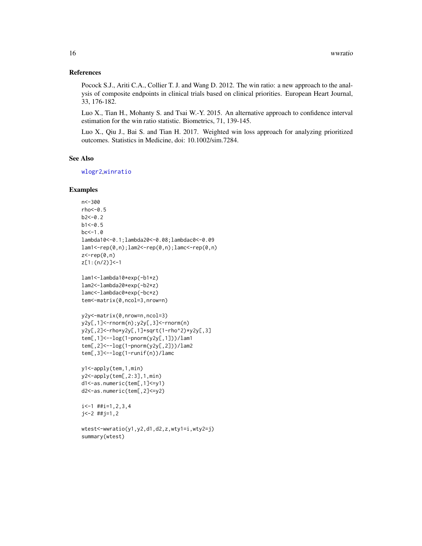#### <span id="page-15-0"></span>References

Pocock S.J., Ariti C.A., Collier T. J. and Wang D. 2012. The win ratio: a new approach to the analysis of composite endpoints in clinical trials based on clinical priorities. European Heart Journal, 33, 176-182.

Luo X., Tian H., Mohanty S. and Tsai W.-Y. 2015. An alternative approach to confidence interval estimation for the win ratio statistic. Biometrics, 71, 139-145.

Luo X., Qiu J., Bai S. and Tian H. 2017. Weighted win loss approach for analyzing prioritized outcomes. Statistics in Medicine, doi: 10.1002/sim.7284.

#### See Also

[wlogr2](#page-11-1),[winratio](#page-9-1)

#### Examples

```
n<-300
rho<-0.5
b2<-0.2b1<-0.5bc < -1.0lambda10<-0.1;lambda20<-0.08;lambdac0<-0.09
lam1<-rep(0,n);lam2<-rep(0,n);lamc<-rep(0,n)
z < - rep(\emptyset, n)
z[1:(n/2)]<-1
lam1<-lambda10*exp(-b1*z)
lam2<-lambda20*exp(-b2*z)
lamc<-lambdac0*exp(-bc*z)
tem<-matrix(0,ncol=3,nrow=n)
y2y<-matrix(0,nrow=n,ncol=3)
y2y[,1]<-rnorm(n);y2y[,3]<-rnorm(n)
y2y[,2]<-rho*y2y[,1]+sqrt(1-rho^2)*y2y[,3]
tem[,1]<--log(1-pnorm(y2y[,1]))/lam1
tem[,2]<--log(1-pnorm(y2y[,2]))/lam2
tem[,3]<--log(1-runif(n))/lamc
y1<-apply(tem,1,min)
y2<-apply(tem[,2:3],1,min)
d1<-as.numeric(tem[,1]<=y1)
d2<-as.numeric(tem[,2]<=y2)
i<-1 ##i=1,2,3,4
j<-2 ##j=1,2
wtest<-wwratio(y1,y2,d1,d2,z,wty1=i,wty2=j)
```

```
summary(wtest)
```